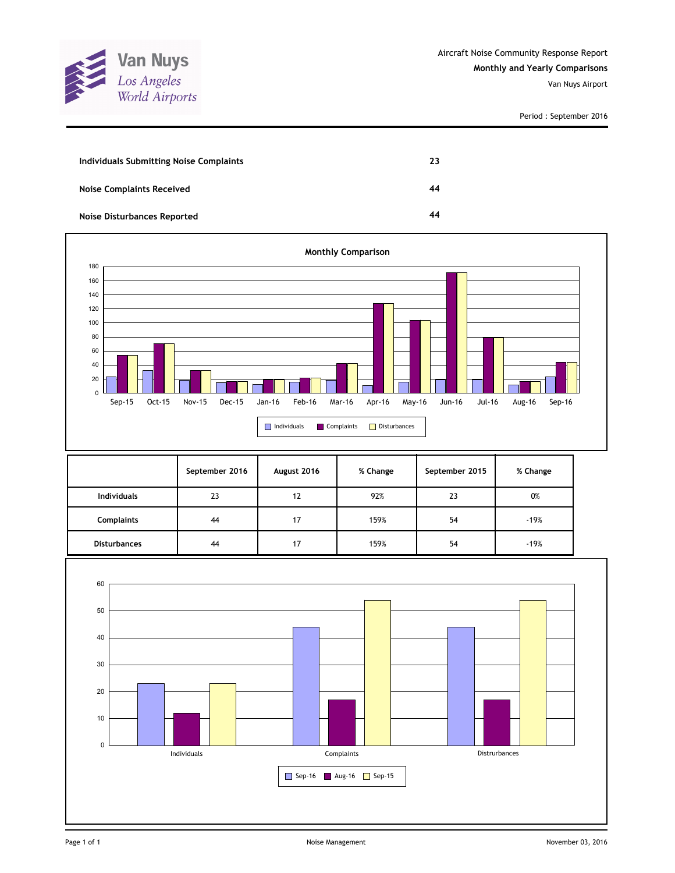

Period : September 2016

| Individuals Submitting Noise Complaints | 23 |
|-----------------------------------------|----|
| <b>Noise Complaints Received</b>        | 44 |
| <b>Noise Disturbances Reported</b>      | 44 |



|                     | September 2016 | August 2016 | % Change | September 2015 | % Change |
|---------------------|----------------|-------------|----------|----------------|----------|
| <b>Individuals</b>  | 23             | 12          | 92%      | 23             | 0%       |
| <b>Complaints</b>   | 44             | 17          | 159%     | 54             | $-19%$   |
| <b>Disturbances</b> | 44             | 17          | 159%     | 54             | $-19%$   |

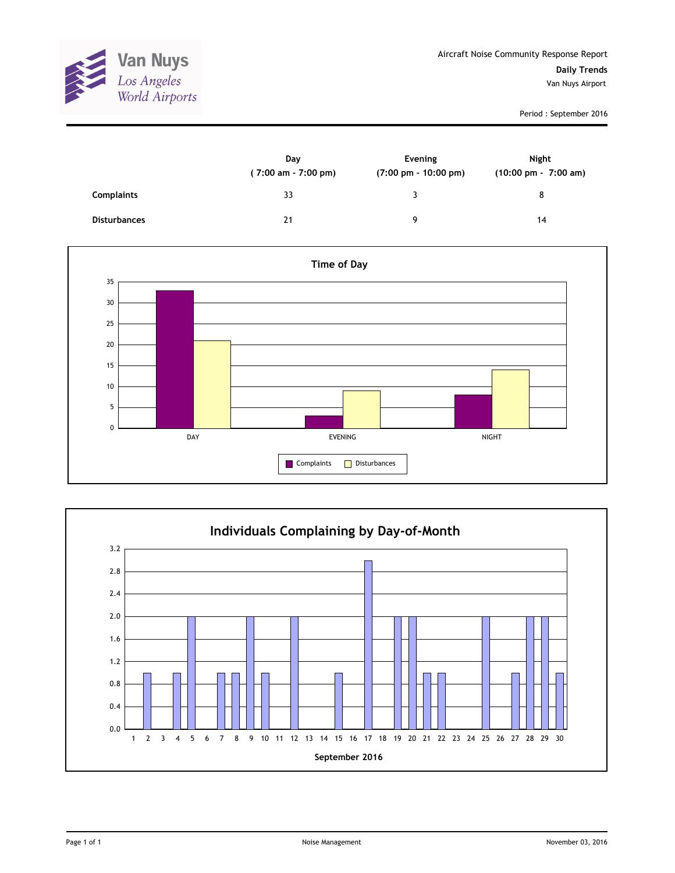

Period : September 2016

|                     | Day<br>(7:00 am - 7:00 pm) | Evening<br>$(7:00 \text{ pm} - 10:00 \text{ pm})$ | Night<br>(10:00 pm - 7:00 am) |
|---------------------|----------------------------|---------------------------------------------------|-------------------------------|
| <b>Complaints</b>   | 33                         | ิว                                                | 8                             |
| <b>Disturbances</b> | 21                         | g                                                 | 14                            |



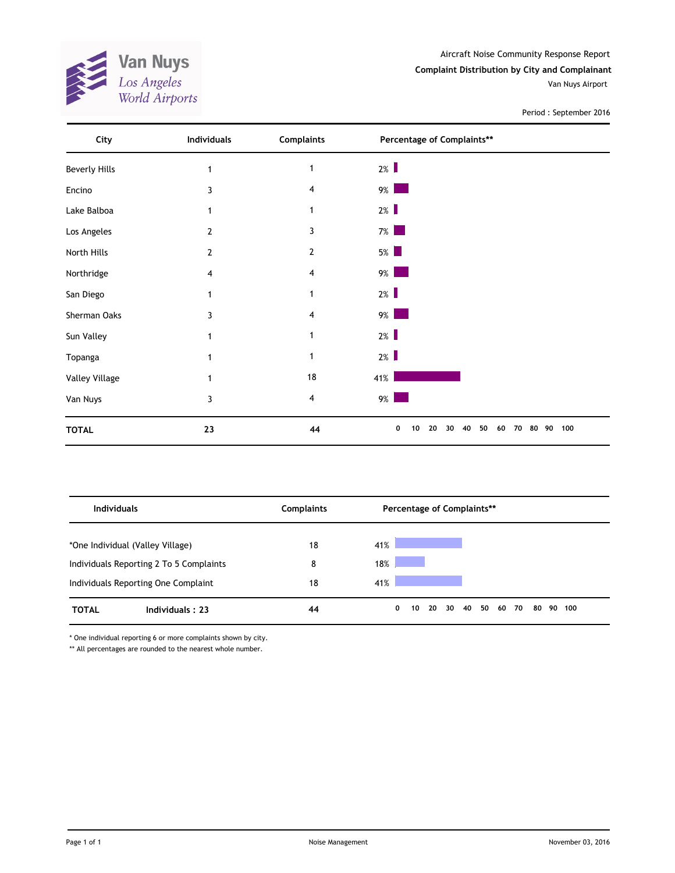**Van Nuys**<br>Los Angeles<br>World Airports ANA.

Aircraft Noise Community Response Report **Complaint Distribution by City and Complainant** Van Nuys Airport

Period : September 2016

| City                 | <b>Individuals</b> | <b>Complaints</b> | Percentage of Complaints**                              |     |
|----------------------|--------------------|-------------------|---------------------------------------------------------|-----|
| <b>Beverly Hills</b> | 1                  | $\mathbf{1}$      | $2\%$                                                   |     |
| Encino               | 3                  | 4                 | $9\%$                                                   |     |
| Lake Balboa          | 1                  | $\mathbf{1}$      | $2\%$                                                   |     |
| Los Angeles          | 2                  | 3                 | $7\%$<br><b>Service Service</b>                         |     |
| North Hills          | 2                  | $\overline{2}$    | $5\%$                                                   |     |
| Northridge           | 4                  | 4                 | $9\%$                                                   |     |
| San Diego            | 1                  | 1                 | $2\%$                                                   |     |
| Sherman Oaks         | 3                  | 4                 | $9\%$                                                   |     |
| Sun Valley           |                    | 1                 | $2\%$                                                   |     |
| Topanga              |                    | 1                 | $2\%$                                                   |     |
| Valley Village       |                    | 18                | 41%                                                     |     |
| Van Nuys             | 3                  | 4                 | $9\%$                                                   |     |
| <b>TOTAL</b>         | 23                 | 44                | 0<br>10<br>20<br>30<br>40<br>50<br>60<br>70<br>80<br>90 | 100 |

| <b>Individuals</b>               |                                         | <b>Complaints</b> |     |   | Percentage of Complaints** |    |    |             |  |    |        |  |
|----------------------------------|-----------------------------------------|-------------------|-----|---|----------------------------|----|----|-------------|--|----|--------|--|
| *One Individual (Valley Village) |                                         | 18                | 41% |   |                            |    |    |             |  |    |        |  |
|                                  | Individuals Reporting 2 To 5 Complaints | 8                 | 18% |   |                            |    |    |             |  |    |        |  |
|                                  | Individuals Reporting One Complaint     | 18                | 41% |   |                            |    |    |             |  |    |        |  |
| <b>TOTAL</b>                     | Individuals: 23                         | 44                |     | 0 | 10                         | 20 | 30 | 40 50 60 70 |  | 80 | 90 100 |  |

\* One individual reporting 6 or more complaints shown by city.

\*\* All percentages are rounded to the nearest whole number.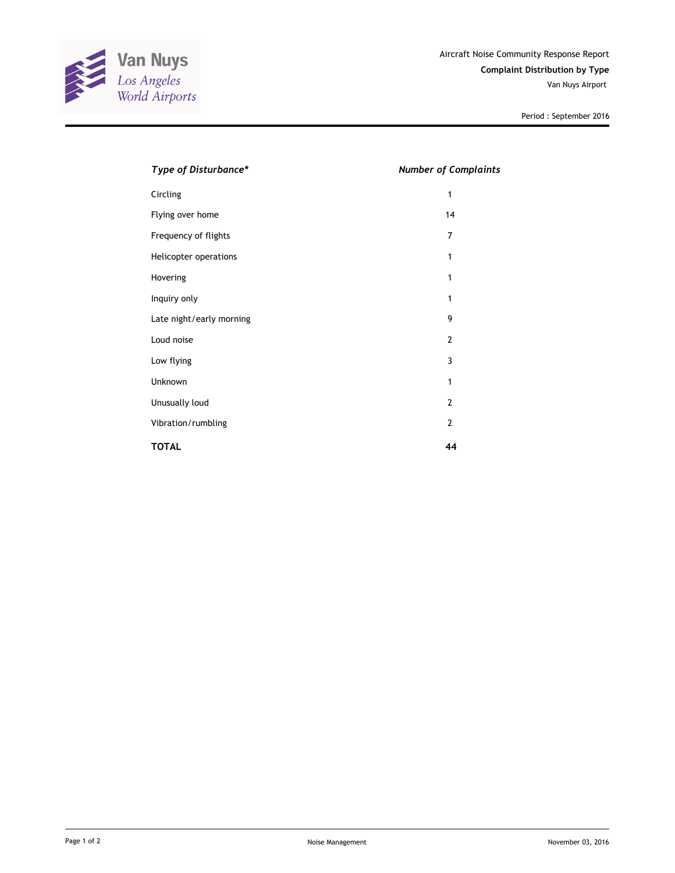

Period : September 2016

| Type of Disturbance*     | <b>Number of Complaints</b> |
|--------------------------|-----------------------------|
| Circling                 | 1                           |
| Flying over home         | 14                          |
| Frequency of flights     | 7                           |
| Helicopter operations    | 1                           |
| Hovering                 | 1                           |
| Inquiry only             | 1                           |
| Late night/early morning | 9                           |
| Loud noise               | $\overline{2}$              |
| Low flying               | 3                           |
| <b>Unknown</b>           | 1                           |
| Unusually loud           | $\overline{2}$              |
| Vibration/rumbling       | $\overline{2}$              |
| <b>TOTAL</b>             | 44                          |
|                          |                             |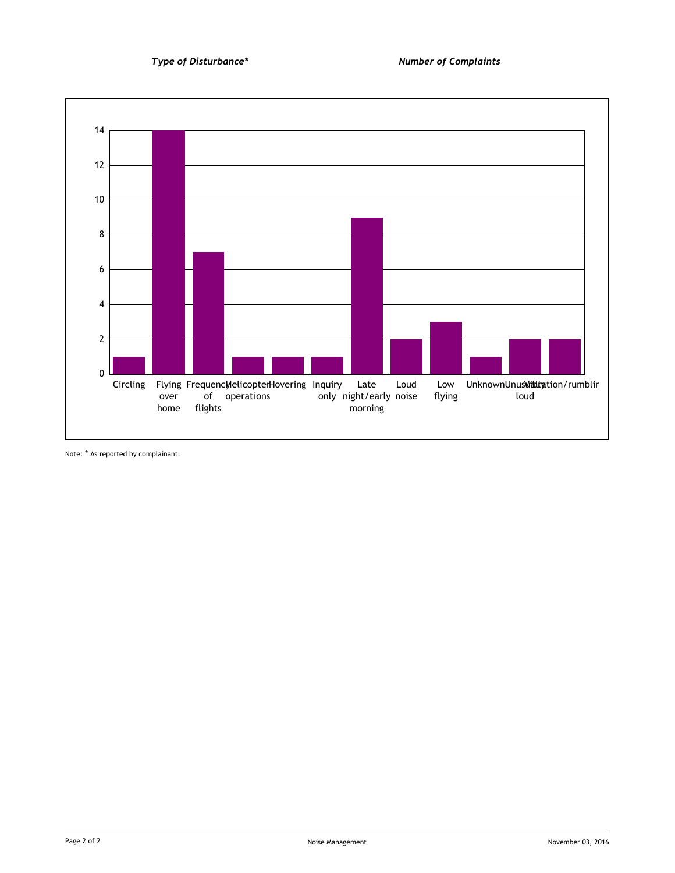

Note: \* As reported by complainant.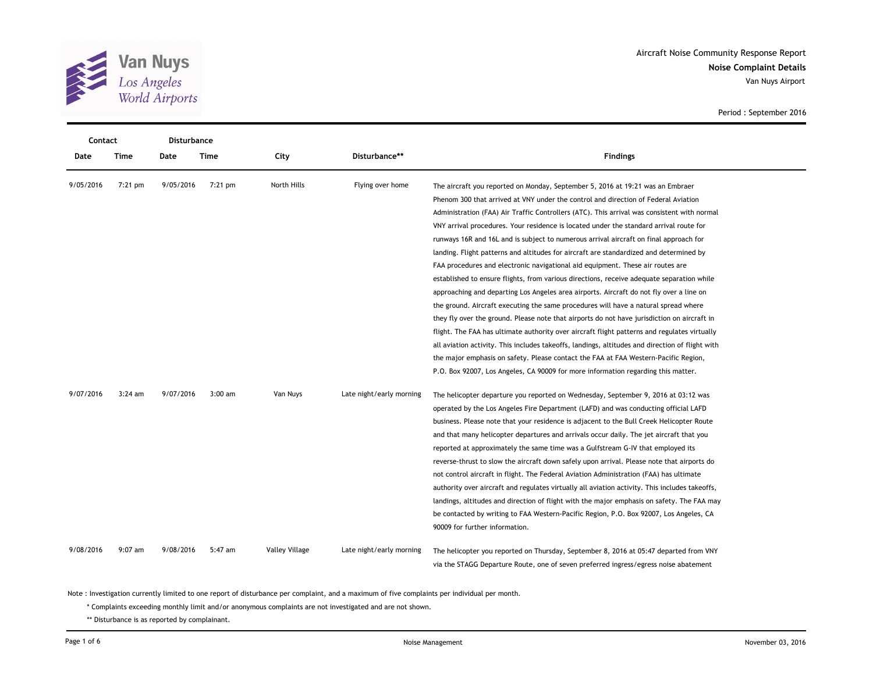

**Noise Complaint Details** Aircraft Noise Community Response Report Van Nuys Airport

| Contact   |           | Disturbance |           |                |                          |                                                                                                                                                                                                                                                                                                                                                                                                                                                                                                                                                                                                                                                                                                                                                                                                                                                                                                                                                                         |  |  |
|-----------|-----------|-------------|-----------|----------------|--------------------------|-------------------------------------------------------------------------------------------------------------------------------------------------------------------------------------------------------------------------------------------------------------------------------------------------------------------------------------------------------------------------------------------------------------------------------------------------------------------------------------------------------------------------------------------------------------------------------------------------------------------------------------------------------------------------------------------------------------------------------------------------------------------------------------------------------------------------------------------------------------------------------------------------------------------------------------------------------------------------|--|--|
| Date      | Time      | Date        | Time      | City           | Disturbance**            | <b>Findings</b>                                                                                                                                                                                                                                                                                                                                                                                                                                                                                                                                                                                                                                                                                                                                                                                                                                                                                                                                                         |  |  |
| 9/05/2016 | $7:21$ pm | 9/05/2016   | $7:21$ pm | North Hills    | Flying over home         | The aircraft you reported on Monday, September 5, 2016 at 19:21 was an Embraer<br>Phenom 300 that arrived at VNY under the control and direction of Federal Aviation<br>Administration (FAA) Air Traffic Controllers (ATC). This arrival was consistent with normal<br>VNY arrival procedures. Your residence is located under the standard arrival route for<br>runways 16R and 16L and is subject to numerous arrival aircraft on final approach for<br>landing. Flight patterns and altitudes for aircraft are standardized and determined by<br>FAA procedures and electronic navigational aid equipment. These air routes are                                                                                                                                                                                                                                                                                                                                      |  |  |
|           |           |             |           |                |                          | established to ensure flights, from various directions, receive adequate separation while<br>approaching and departing Los Angeles area airports. Aircraft do not fly over a line on<br>the ground. Aircraft executing the same procedures will have a natural spread where<br>they fly over the ground. Please note that airports do not have jurisdiction on aircraft in<br>flight. The FAA has ultimate authority over aircraft flight patterns and regulates virtually<br>all aviation activity. This includes takeoffs, landings, altitudes and direction of flight with<br>the major emphasis on safety. Please contact the FAA at FAA Western-Pacific Region,<br>P.O. Box 92007, Los Angeles, CA 90009 for more information regarding this matter.                                                                                                                                                                                                               |  |  |
| 9/07/2016 | $3:24$ am | 9/07/2016   | $3:00$ am | Van Nuys       | Late night/early morning | The helicopter departure you reported on Wednesday, September 9, 2016 at 03:12 was<br>operated by the Los Angeles Fire Department (LAFD) and was conducting official LAFD<br>business. Please note that your residence is adjacent to the Bull Creek Helicopter Route<br>and that many helicopter departures and arrivals occur daily. The jet aircraft that you<br>reported at approximately the same time was a Gulfstream G-IV that employed its<br>reverse-thrust to slow the aircraft down safely upon arrival. Please note that airports do<br>not control aircraft in flight. The Federal Aviation Administration (FAA) has ultimate<br>authority over aircraft and regulates virtually all aviation activity. This includes takeoffs,<br>landings, altitudes and direction of flight with the major emphasis on safety. The FAA may<br>be contacted by writing to FAA Western-Pacific Region, P.O. Box 92007, Los Angeles, CA<br>90009 for further information. |  |  |
| 9/08/2016 | $9:07$ am | 9/08/2016   | 5:47 am   | Valley Village | Late night/early morning | The helicopter you reported on Thursday, September 8, 2016 at 05:47 departed from VNY<br>via the STAGG Departure Route, one of seven preferred ingress/egress noise abatement                                                                                                                                                                                                                                                                                                                                                                                                                                                                                                                                                                                                                                                                                                                                                                                           |  |  |

Period : September 2016

Note : Investigation currently limited to one report of disturbance per complaint, and a maximum of five complaints per individual per month.

\* Complaints exceeding monthly limit and/or anonymous complaints are not investigated and are not shown.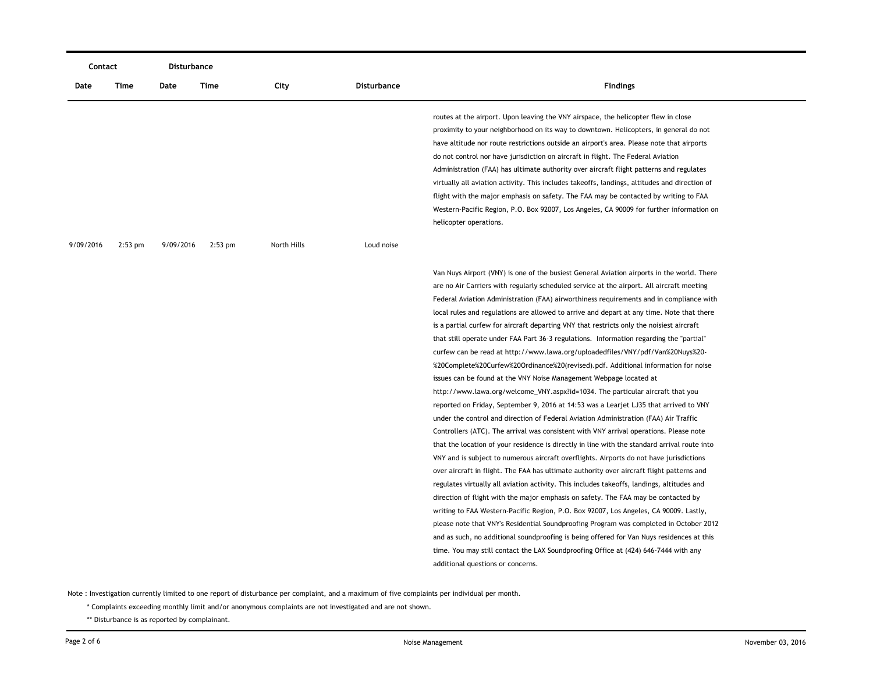| Contact   |           | Disturbance |           |             |                    |                                                                                                                                                                                                                                                                                                                                                                                                                                                                                                                                                                                                                                                                                                                                                                                                                                                                                                                                                                                                                                                                                                                                                                                                                                                                                                                                                                                                                                                                                                                                                                                                                                                                                                                                                                                                                                                                                                                                                                                                                                                                           |  |  |
|-----------|-----------|-------------|-----------|-------------|--------------------|---------------------------------------------------------------------------------------------------------------------------------------------------------------------------------------------------------------------------------------------------------------------------------------------------------------------------------------------------------------------------------------------------------------------------------------------------------------------------------------------------------------------------------------------------------------------------------------------------------------------------------------------------------------------------------------------------------------------------------------------------------------------------------------------------------------------------------------------------------------------------------------------------------------------------------------------------------------------------------------------------------------------------------------------------------------------------------------------------------------------------------------------------------------------------------------------------------------------------------------------------------------------------------------------------------------------------------------------------------------------------------------------------------------------------------------------------------------------------------------------------------------------------------------------------------------------------------------------------------------------------------------------------------------------------------------------------------------------------------------------------------------------------------------------------------------------------------------------------------------------------------------------------------------------------------------------------------------------------------------------------------------------------------------------------------------------------|--|--|
| Date      | Time      | Date        | Time      | City        | <b>Disturbance</b> | <b>Findings</b>                                                                                                                                                                                                                                                                                                                                                                                                                                                                                                                                                                                                                                                                                                                                                                                                                                                                                                                                                                                                                                                                                                                                                                                                                                                                                                                                                                                                                                                                                                                                                                                                                                                                                                                                                                                                                                                                                                                                                                                                                                                           |  |  |
|           |           |             |           |             |                    | routes at the airport. Upon leaving the VNY airspace, the helicopter flew in close<br>proximity to your neighborhood on its way to downtown. Helicopters, in general do not<br>have altitude nor route restrictions outside an airport's area. Please note that airports<br>do not control nor have jurisdiction on aircraft in flight. The Federal Aviation<br>Administration (FAA) has ultimate authority over aircraft flight patterns and regulates<br>virtually all aviation activity. This includes takeoffs, landings, altitudes and direction of<br>flight with the major emphasis on safety. The FAA may be contacted by writing to FAA<br>Western-Pacific Region, P.O. Box 92007, Los Angeles, CA 90009 for further information on<br>helicopter operations.                                                                                                                                                                                                                                                                                                                                                                                                                                                                                                                                                                                                                                                                                                                                                                                                                                                                                                                                                                                                                                                                                                                                                                                                                                                                                                    |  |  |
| 9/09/2016 | $2:53$ pm | 9/09/2016   | $2:53$ pm | North Hills | Loud noise         |                                                                                                                                                                                                                                                                                                                                                                                                                                                                                                                                                                                                                                                                                                                                                                                                                                                                                                                                                                                                                                                                                                                                                                                                                                                                                                                                                                                                                                                                                                                                                                                                                                                                                                                                                                                                                                                                                                                                                                                                                                                                           |  |  |
|           |           |             |           |             |                    | Van Nuys Airport (VNY) is one of the busiest General Aviation airports in the world. There<br>are no Air Carriers with regularly scheduled service at the airport. All aircraft meeting<br>Federal Aviation Administration (FAA) airworthiness requirements and in compliance with<br>local rules and regulations are allowed to arrive and depart at any time. Note that there<br>is a partial curfew for aircraft departing VNY that restricts only the noisiest aircraft<br>that still operate under FAA Part 36-3 regulations. Information regarding the "partial"<br>curfew can be read at http://www.lawa.org/uploadedfiles/VNY/pdf/Van%20Nuys%20-<br>%20Complete%20Curfew%20Ordinance%20(revised).pdf. Additional information for noise<br>issues can be found at the VNY Noise Management Webpage located at<br>http://www.lawa.org/welcome_VNY.aspx?id=1034. The particular aircraft that you<br>reported on Friday, September 9, 2016 at 14:53 was a Learjet LJ35 that arrived to VNY<br>under the control and direction of Federal Aviation Administration (FAA) Air Traffic<br>Controllers (ATC). The arrival was consistent with VNY arrival operations. Please note<br>that the location of your residence is directly in line with the standard arrival route into<br>VNY and is subject to numerous aircraft overflights. Airports do not have jurisdictions<br>over aircraft in flight. The FAA has ultimate authority over aircraft flight patterns and<br>regulates virtually all aviation activity. This includes takeoffs, landings, altitudes and<br>direction of flight with the major emphasis on safety. The FAA may be contacted by<br>writing to FAA Western-Pacific Region, P.O. Box 92007, Los Angeles, CA 90009. Lastly,<br>please note that VNY's Residential Soundproofing Program was completed in October 2012<br>and as such, no additional soundproofing is being offered for Van Nuys residences at this<br>time. You may still contact the LAX Soundproofing Office at (424) 646-7444 with any<br>additional questions or concerns. |  |  |

\* Complaints exceeding monthly limit and/or anonymous complaints are not investigated and are not shown.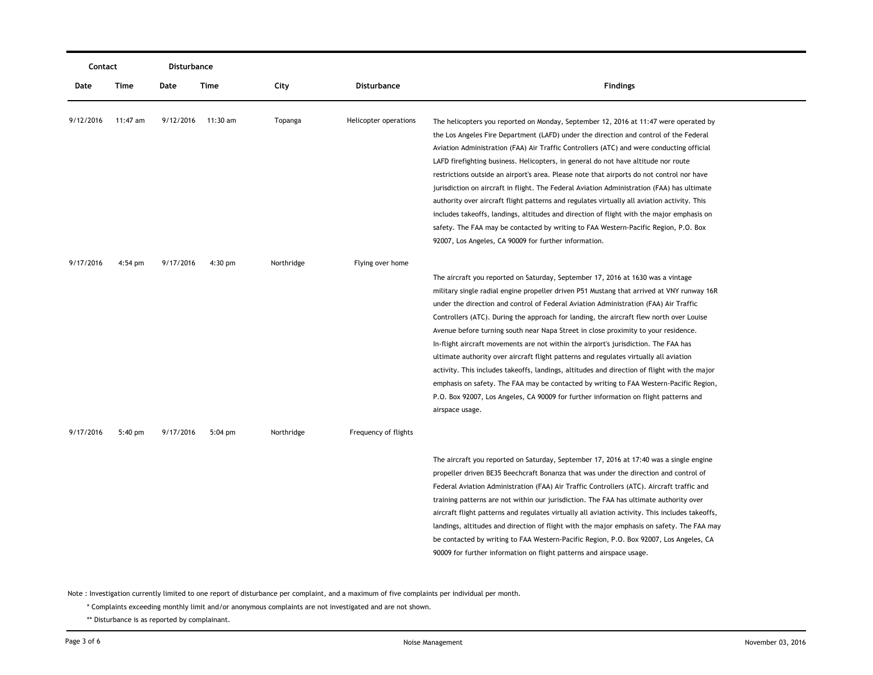| Contact   |          | Disturbance |                    |            |                       |                                                                                                                                                                                                                                                                                                                                                                                                                                                                                                                                                                                                                                                                                                                                                                                                                                                                                                                                            |
|-----------|----------|-------------|--------------------|------------|-----------------------|--------------------------------------------------------------------------------------------------------------------------------------------------------------------------------------------------------------------------------------------------------------------------------------------------------------------------------------------------------------------------------------------------------------------------------------------------------------------------------------------------------------------------------------------------------------------------------------------------------------------------------------------------------------------------------------------------------------------------------------------------------------------------------------------------------------------------------------------------------------------------------------------------------------------------------------------|
| Date      | Time     | Date        | Time               | City       | <b>Disturbance</b>    | <b>Findings</b>                                                                                                                                                                                                                                                                                                                                                                                                                                                                                                                                                                                                                                                                                                                                                                                                                                                                                                                            |
| 9/12/2016 | 11:47 am |             | 9/12/2016 11:30 am | Topanga    | Helicopter operations | The helicopters you reported on Monday, September 12, 2016 at 11:47 were operated by<br>the Los Angeles Fire Department (LAFD) under the direction and control of the Federal<br>Aviation Administration (FAA) Air Traffic Controllers (ATC) and were conducting official<br>LAFD firefighting business. Helicopters, in general do not have altitude nor route<br>restrictions outside an airport's area. Please note that airports do not control nor have<br>jurisdiction on aircraft in flight. The Federal Aviation Administration (FAA) has ultimate<br>authority over aircraft flight patterns and regulates virtually all aviation activity. This<br>includes takeoffs, landings, altitudes and direction of flight with the major emphasis on<br>safety. The FAA may be contacted by writing to FAA Western-Pacific Region, P.O. Box<br>92007, Los Angeles, CA 90009 for further information.                                     |
| 9/17/2016 | 4:54 pm  | 9/17/2016   | 4:30 pm            | Northridge | Flying over home      | The aircraft you reported on Saturday, September 17, 2016 at 1630 was a vintage<br>military single radial engine propeller driven P51 Mustang that arrived at VNY runway 16R<br>under the direction and control of Federal Aviation Administration (FAA) Air Traffic<br>Controllers (ATC). During the approach for landing, the aircraft flew north over Louise<br>Avenue before turning south near Napa Street in close proximity to your residence.<br>In-flight aircraft movements are not within the airport's jurisdiction. The FAA has<br>ultimate authority over aircraft flight patterns and regulates virtually all aviation<br>activity. This includes takeoffs, landings, altitudes and direction of flight with the major<br>emphasis on safety. The FAA may be contacted by writing to FAA Western-Pacific Region,<br>P.O. Box 92007, Los Angeles, CA 90009 for further information on flight patterns and<br>airspace usage. |
| 9/17/2016 | 5:40 pm  | 9/17/2016   | $5:04$ pm          | Northridge | Frequency of flights  | The aircraft you reported on Saturday, September 17, 2016 at 17:40 was a single engine<br>propeller driven BE35 Beechcraft Bonanza that was under the direction and control of<br>Federal Aviation Administration (FAA) Air Traffic Controllers (ATC). Aircraft traffic and<br>training patterns are not within our jurisdiction. The FAA has ultimate authority over<br>aircraft flight patterns and regulates virtually all aviation activity. This includes takeoffs,<br>landings, altitudes and direction of flight with the major emphasis on safety. The FAA may<br>be contacted by writing to FAA Western-Pacific Region, P.O. Box 92007, Los Angeles, CA<br>90009 for further information on flight patterns and airspace usage.                                                                                                                                                                                                   |

\* Complaints exceeding monthly limit and/or anonymous complaints are not investigated and are not shown.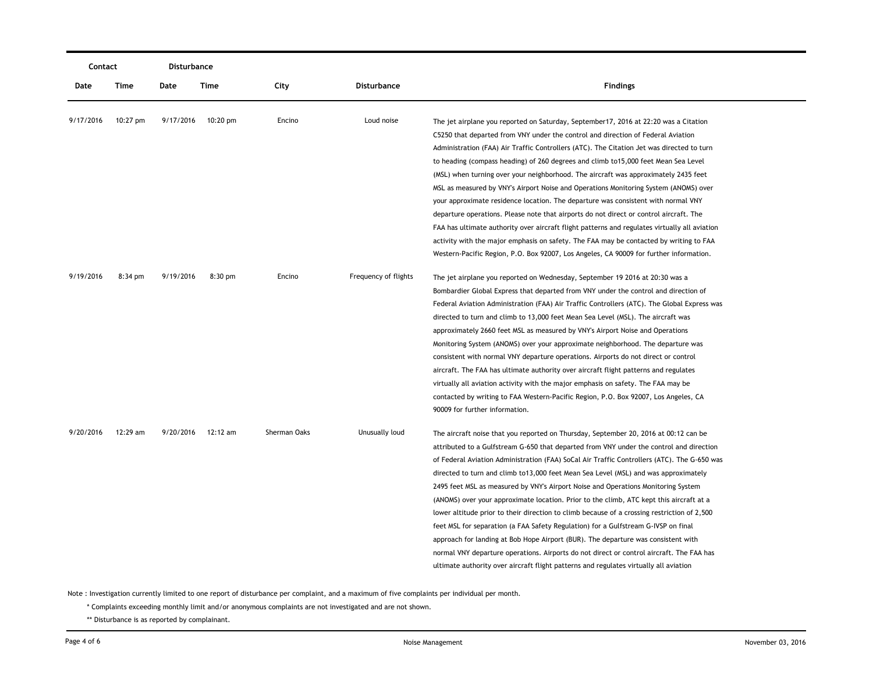|           | Disturbance<br>Contact |           |                    |              |                      |                                                                                                                                                                                                                                                                                                                                                                                                                                                                                                                                                                                                                                                                                                                                                                                                                                                                                                                                                                                                                       |
|-----------|------------------------|-----------|--------------------|--------------|----------------------|-----------------------------------------------------------------------------------------------------------------------------------------------------------------------------------------------------------------------------------------------------------------------------------------------------------------------------------------------------------------------------------------------------------------------------------------------------------------------------------------------------------------------------------------------------------------------------------------------------------------------------------------------------------------------------------------------------------------------------------------------------------------------------------------------------------------------------------------------------------------------------------------------------------------------------------------------------------------------------------------------------------------------|
| Date      | Time                   | Date      | Time               | City         | Disturbance          | <b>Findings</b>                                                                                                                                                                                                                                                                                                                                                                                                                                                                                                                                                                                                                                                                                                                                                                                                                                                                                                                                                                                                       |
| 9/17/2016 | $10:27$ pm             |           | 9/17/2016 10:20 pm | Encino       | Loud noise           | The jet airplane you reported on Saturday, September17, 2016 at 22:20 was a Citation<br>C5250 that departed from VNY under the control and direction of Federal Aviation<br>Administration (FAA) Air Traffic Controllers (ATC). The Citation Jet was directed to turn<br>to heading (compass heading) of 260 degrees and climb to 15,000 feet Mean Sea Level<br>(MSL) when turning over your neighborhood. The aircraft was approximately 2435 feet                                                                                                                                                                                                                                                                                                                                                                                                                                                                                                                                                                   |
|           |                        |           |                    |              |                      | MSL as measured by VNY's Airport Noise and Operations Monitoring System (ANOMS) over<br>your approximate residence location. The departure was consistent with normal VNY<br>departure operations. Please note that airports do not direct or control aircraft. The<br>FAA has ultimate authority over aircraft flight patterns and regulates virtually all aviation<br>activity with the major emphasis on safety. The FAA may be contacted by writing to FAA<br>Western-Pacific Region, P.O. Box 92007, Los Angeles, CA 90009 for further information.                                                                                                                                                                                                                                                                                                                                                                                                                                                              |
| 9/19/2016 | $8:34$ pm              | 9/19/2016 | $8:30$ pm          | Encino       | Frequency of flights | The jet airplane you reported on Wednesday, September 19 2016 at 20:30 was a<br>Bombardier Global Express that departed from VNY under the control and direction of<br>Federal Aviation Administration (FAA) Air Traffic Controllers (ATC). The Global Express was<br>directed to turn and climb to 13,000 feet Mean Sea Level (MSL). The aircraft was<br>approximately 2660 feet MSL as measured by VNY's Airport Noise and Operations<br>Monitoring System (ANOMS) over your approximate neighborhood. The departure was<br>consistent with normal VNY departure operations. Airports do not direct or control<br>aircraft. The FAA has ultimate authority over aircraft flight patterns and regulates<br>virtually all aviation activity with the major emphasis on safety. The FAA may be<br>contacted by writing to FAA Western-Pacific Region, P.O. Box 92007, Los Angeles, CA<br>90009 for further information.                                                                                                |
| 9/20/2016 | 12:29 am               | 9/20/2016 | 12:12 am           | Sherman Oaks | Unusually loud       | The aircraft noise that you reported on Thursday, September 20, 2016 at 00:12 can be<br>attributed to a Gulfstream G-650 that departed from VNY under the control and direction<br>of Federal Aviation Administration (FAA) SoCal Air Traffic Controllers (ATC). The G-650 was<br>directed to turn and climb to 13,000 feet Mean Sea Level (MSL) and was approximately<br>2495 feet MSL as measured by VNY's Airport Noise and Operations Monitoring System<br>(ANOMS) over your approximate location. Prior to the climb, ATC kept this aircraft at a<br>lower altitude prior to their direction to climb because of a crossing restriction of 2,500<br>feet MSL for separation (a FAA Safety Regulation) for a Gulfstream G-IVSP on final<br>approach for landing at Bob Hope Airport (BUR). The departure was consistent with<br>normal VNY departure operations. Airports do not direct or control aircraft. The FAA has<br>ultimate authority over aircraft flight patterns and regulates virtually all aviation |

\* Complaints exceeding monthly limit and/or anonymous complaints are not investigated and are not shown.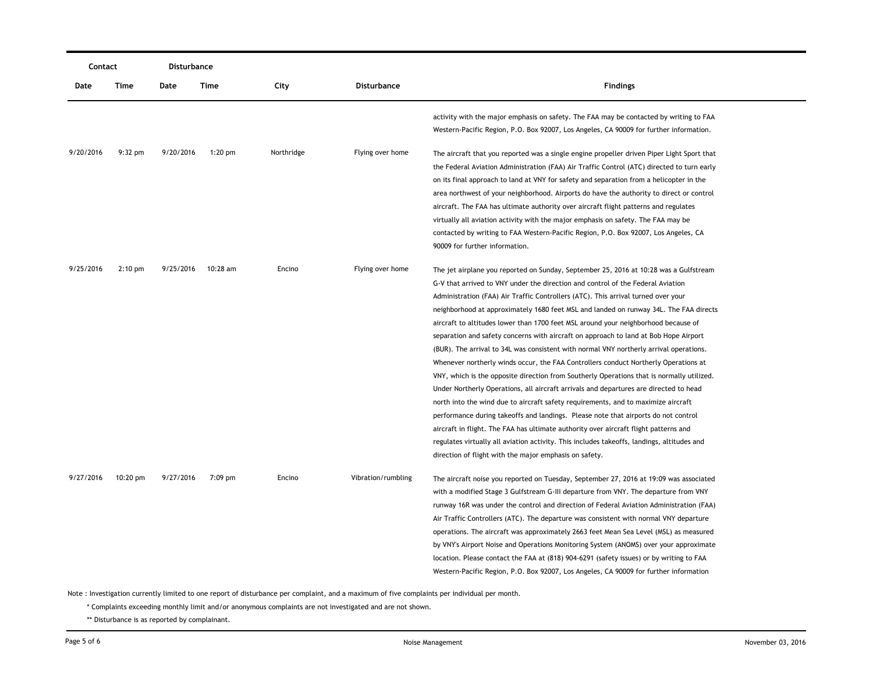|           | Contact   |           | Disturbance |            |                    |                                                                                                                                                                                                                                                                                                                                                                                                                                                                                                                                                                                                                                                                                                                                                                                                                                                                                                                                                                                                                                                                                                                                                                                                                                                                                                                                        |  |  |
|-----------|-----------|-----------|-------------|------------|--------------------|----------------------------------------------------------------------------------------------------------------------------------------------------------------------------------------------------------------------------------------------------------------------------------------------------------------------------------------------------------------------------------------------------------------------------------------------------------------------------------------------------------------------------------------------------------------------------------------------------------------------------------------------------------------------------------------------------------------------------------------------------------------------------------------------------------------------------------------------------------------------------------------------------------------------------------------------------------------------------------------------------------------------------------------------------------------------------------------------------------------------------------------------------------------------------------------------------------------------------------------------------------------------------------------------------------------------------------------|--|--|
| Date      | Time      | Date      | Time        | City       | Disturbance        | <b>Findings</b>                                                                                                                                                                                                                                                                                                                                                                                                                                                                                                                                                                                                                                                                                                                                                                                                                                                                                                                                                                                                                                                                                                                                                                                                                                                                                                                        |  |  |
|           |           |           |             |            |                    | activity with the major emphasis on safety. The FAA may be contacted by writing to FAA<br>Western-Pacific Region, P.O. Box 92007, Los Angeles, CA 90009 for further information.                                                                                                                                                                                                                                                                                                                                                                                                                                                                                                                                                                                                                                                                                                                                                                                                                                                                                                                                                                                                                                                                                                                                                       |  |  |
| 9/20/2016 | $9:32$ pm | 9/20/2016 | $1:20$ pm   | Northridge | Flying over home   | The aircraft that you reported was a single engine propeller driven Piper Light Sport that<br>the Federal Aviation Administration (FAA) Air Traffic Control (ATC) directed to turn early<br>on its final approach to land at VNY for safety and separation from a helicopter in the<br>area northwest of your neighborhood. Airports do have the authority to direct or control<br>aircraft. The FAA has ultimate authority over aircraft flight patterns and regulates                                                                                                                                                                                                                                                                                                                                                                                                                                                                                                                                                                                                                                                                                                                                                                                                                                                                |  |  |
|           |           |           |             |            |                    | virtually all aviation activity with the major emphasis on safety. The FAA may be<br>contacted by writing to FAA Western-Pacific Region, P.O. Box 92007, Los Angeles, CA<br>90009 for further information.                                                                                                                                                                                                                                                                                                                                                                                                                                                                                                                                                                                                                                                                                                                                                                                                                                                                                                                                                                                                                                                                                                                             |  |  |
| 9/25/2016 | $2:10$ pm | 9/25/2016 | 10:28 am    | Encino     | Flying over home   | The jet airplane you reported on Sunday, September 25, 2016 at 10:28 was a Gulfstream<br>G-V that arrived to VNY under the direction and control of the Federal Aviation<br>Administration (FAA) Air Traffic Controllers (ATC). This arrival turned over your<br>neighborhood at approximately 1680 feet MSL and landed on runway 34L. The FAA directs<br>aircraft to altitudes lower than 1700 feet MSL around your neighborhood because of<br>separation and safety concerns with aircraft on approach to land at Bob Hope Airport<br>(BUR). The arrival to 34L was consistent with normal VNY northerly arrival operations.<br>Whenever northerly winds occur, the FAA Controllers conduct Northerly Operations at<br>VNY, which is the opposite direction from Southerly Operations that is normally utilized.<br>Under Northerly Operations, all aircraft arrivals and departures are directed to head<br>north into the wind due to aircraft safety requirements, and to maximize aircraft<br>performance during takeoffs and landings. Please note that airports do not control<br>aircraft in flight. The FAA has ultimate authority over aircraft flight patterns and<br>regulates virtually all aviation activity. This includes takeoffs, landings, altitudes and<br>direction of flight with the major emphasis on safety. |  |  |
| 9/27/2016 | 10:20 pm  | 9/27/2016 | 7:09 pm     | Encino     | Vibration/rumbling | The aircraft noise you reported on Tuesday, September 27, 2016 at 19:09 was associated<br>with a modified Stage 3 Gulfstream G-III departure from VNY. The departure from VNY<br>runway 16R was under the control and direction of Federal Aviation Administration (FAA)<br>Air Traffic Controllers (ATC). The departure was consistent with normal VNY departure<br>operations. The aircraft was approximately 2663 feet Mean Sea Level (MSL) as measured<br>by VNY's Airport Noise and Operations Monitoring System (ANOMS) over your approximate<br>location. Please contact the FAA at (818) 904-6291 (safety issues) or by writing to FAA<br>Western-Pacific Region, P.O. Box 92007, Los Angeles, CA 90009 for further information                                                                                                                                                                                                                                                                                                                                                                                                                                                                                                                                                                                                |  |  |

\* Complaints exceeding monthly limit and/or anonymous complaints are not investigated and are not shown.